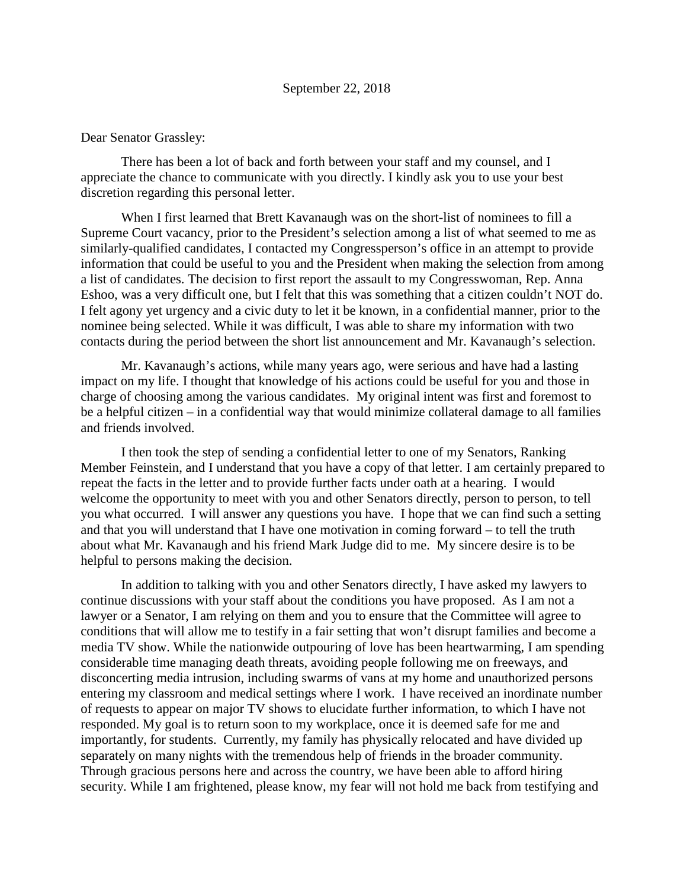## Dear Senator Grassley:

There has been a lot of back and forth between your staff and my counsel, and I appreciate the chance to communicate with you directly. I kindly ask you to use your best discretion regarding this personal letter.

When I first learned that Brett Kavanaugh was on the short-list of nominees to fill a Supreme Court vacancy, prior to the President's selection among a list of what seemed to me as similarly-qualified candidates, I contacted my Congressperson's office in an attempt to provide information that could be useful to you and the President when making the selection from among a list of candidates. The decision to first report the assault to my Congresswoman, Rep. Anna Eshoo, was a very difficult one, but I felt that this was something that a citizen couldn't NOT do. I felt agony yet urgency and a civic duty to let it be known, in a confidential manner, prior to the nominee being selected. While it was difficult, I was able to share my information with two contacts during the period between the short list announcement and Mr. Kavanaugh's selection.

Mr. Kavanaugh's actions, while many years ago, were serious and have had a lasting impact on my life. I thought that knowledge of his actions could be useful for you and those in charge of choosing among the various candidates. My original intent was first and foremost to be a helpful citizen – in a confidential way that would minimize collateral damage to all families and friends involved.

I then took the step of sending a confidential letter to one of my Senators, Ranking Member Feinstein, and I understand that you have a copy of that letter. I am certainly prepared to repeat the facts in the letter and to provide further facts under oath at a hearing. I would welcome the opportunity to meet with you and other Senators directly, person to person, to tell you what occurred. I will answer any questions you have. I hope that we can find such a setting and that you will understand that I have one motivation in coming forward – to tell the truth about what Mr. Kavanaugh and his friend Mark Judge did to me. My sincere desire is to be helpful to persons making the decision.

In addition to talking with you and other Senators directly, I have asked my lawyers to continue discussions with your staff about the conditions you have proposed. As I am not a lawyer or a Senator, I am relying on them and you to ensure that the Committee will agree to conditions that will allow me to testify in a fair setting that won't disrupt families and become a media TV show. While the nationwide outpouring of love has been heartwarming, I am spending considerable time managing death threats, avoiding people following me on freeways, and disconcerting media intrusion, including swarms of vans at my home and unauthorized persons entering my classroom and medical settings where I work. I have received an inordinate number of requests to appear on major TV shows to elucidate further information, to which I have not responded. My goal is to return soon to my workplace, once it is deemed safe for me and importantly, for students. Currently, my family has physically relocated and have divided up separately on many nights with the tremendous help of friends in the broader community. Through gracious persons here and across the country, we have been able to afford hiring security. While I am frightened, please know, my fear will not hold me back from testifying and